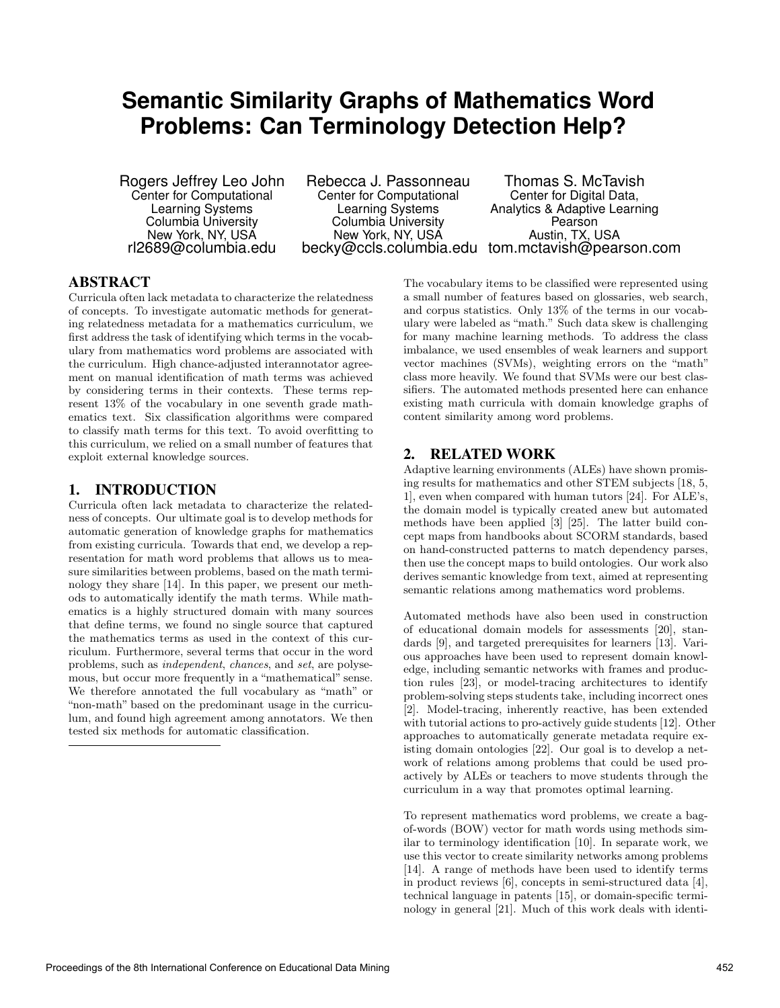# **Semantic Similarity Graphs of Mathematics Word Problems: Can Terminology Detection Help?**

Rogers Jeffrey Leo John Center for Computational Learning Systems Columbia University New York, NY, USA rl2689@columbia.edu

Rebecca J. Passonneau Center for Computational Learning Systems Columbia University New York, NY, USA becky@ccls.columbia.edu tom.mctavish@pearson.com

Thomas S. McTavish Center for Digital Data, Analytics & Adaptive Learning Pearson Austin, TX, USA

## ABSTRACT

Curricula often lack metadata to characterize the relatedness of concepts. To investigate automatic methods for generating relatedness metadata for a mathematics curriculum, we first address the task of identifying which terms in the vocabulary from mathematics word problems are associated with the curriculum. High chance-adjusted interannotator agreement on manual identification of math terms was achieved by considering terms in their contexts. These terms represent 13% of the vocabulary in one seventh grade mathematics text. Six classification algorithms were compared to classify math terms for this text. To avoid overfitting to this curriculum, we relied on a small number of features that exploit external knowledge sources.

## 1. INTRODUCTION

Curricula often lack metadata to characterize the relatedness of concepts. Our ultimate goal is to develop methods for automatic generation of knowledge graphs for mathematics from existing curricula. Towards that end, we develop a representation for math word problems that allows us to measure similarities between problems, based on the math terminology they share [14]. In this paper, we present our methods to automatically identify the math terms. While mathematics is a highly structured domain with many sources that define terms, we found no single source that captured the mathematics terms as used in the context of this curriculum. Furthermore, several terms that occur in the word problems, such as independent, chances, and set, are polysemous, but occur more frequently in a "mathematical" sense. We therefore annotated the full vocabulary as "math" or "non-math" based on the predominant usage in the curriculum, and found high agreement among annotators. We then tested six methods for automatic classification.

The vocabulary items to be classified were represented using a small number of features based on glossaries, web search, and corpus statistics. Only 13% of the terms in our vocabulary were labeled as "math." Such data skew is challenging for many machine learning methods. To address the class imbalance, we used ensembles of weak learners and support vector machines (SVMs), weighting errors on the "math" class more heavily. We found that SVMs were our best classifiers. The automated methods presented here can enhance existing math curricula with domain knowledge graphs of content similarity among word problems.

## 2. RELATED WORK

Adaptive learning environments (ALEs) have shown promising results for mathematics and other STEM subjects [18, 5, 1], even when compared with human tutors [24]. For ALE's, the domain model is typically created anew but automated methods have been applied [3] [25]. The latter build concept maps from handbooks about SCORM standards, based on hand-constructed patterns to match dependency parses, then use the concept maps to build ontologies. Our work also derives semantic knowledge from text, aimed at representing semantic relations among mathematics word problems.

Automated methods have also been used in construction of educational domain models for assessments [20], standards [9], and targeted prerequisites for learners [13]. Various approaches have been used to represent domain knowledge, including semantic networks with frames and production rules [23], or model-tracing architectures to identify problem-solving steps students take, including incorrect ones [2]. Model-tracing, inherently reactive, has been extended with tutorial actions to pro-actively guide students [12]. Other approaches to automatically generate metadata require existing domain ontologies [22]. Our goal is to develop a network of relations among problems that could be used proactively by ALEs or teachers to move students through the curriculum in a way that promotes optimal learning.

To represent mathematics word problems, we create a bagof-words (BOW) vector for math words using methods similar to terminology identification [10]. In separate work, we use this vector to create similarity networks among problems [14]. A range of methods have been used to identify terms in product reviews [6], concepts in semi-structured data [4], technical language in patents [15], or domain-specific terminology in general [21]. Much of this work deals with identi-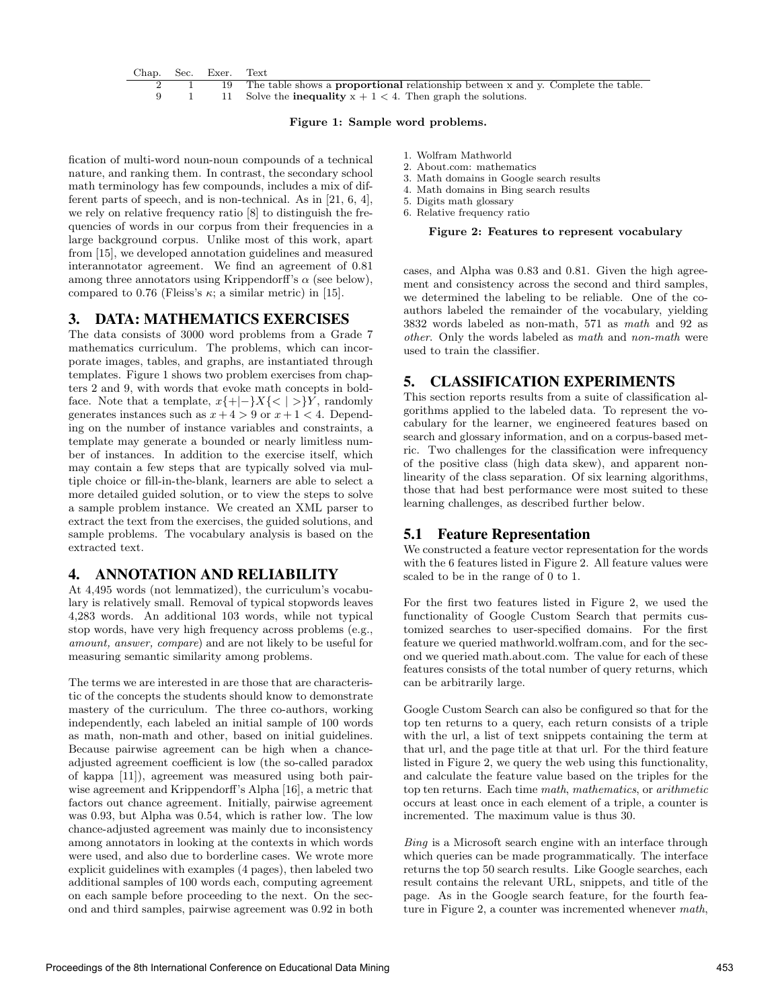

#### Figure 1: Sample word problems.

fication of multi-word noun-noun compounds of a technical nature, and ranking them. In contrast, the secondary school math terminology has few compounds, includes a mix of different parts of speech, and is non-technical. As in [21, 6, 4], we rely on relative frequency ratio [8] to distinguish the frequencies of words in our corpus from their frequencies in a large background corpus. Unlike most of this work, apart from [15], we developed annotation guidelines and measured interannotator agreement. We find an agreement of 0.81 among three annotators using Krippendorff's  $\alpha$  (see below), compared to 0.76 (Fleiss's  $\kappa$ ; a similar metric) in [15].

#### 3. DATA: MATHEMATICS EXERCISES

The data consists of 3000 word problems from a Grade 7 mathematics curriculum. The problems, which can incorporate images, tables, and graphs, are instantiated through templates. Figure 1 shows two problem exercises from chapters 2 and 9, with words that evoke math concepts in boldface. Note that a template,  $x\{\n+|-\}X\{\n<|>\}Y$ , randomly generates instances such as  $x + 4 > 9$  or  $x + 1 < 4$ . Depending on the number of instance variables and constraints, a template may generate a bounded or nearly limitless number of instances. In addition to the exercise itself, which may contain a few steps that are typically solved via multiple choice or fill-in-the-blank, learners are able to select a more detailed guided solution, or to view the steps to solve a sample problem instance. We created an XML parser to extract the text from the exercises, the guided solutions, and sample problems. The vocabulary analysis is based on the extracted text.

## 4. ANNOTATION AND RELIABILITY

At 4,495 words (not lemmatized), the curriculum's vocabulary is relatively small. Removal of typical stopwords leaves 4,283 words. An additional 103 words, while not typical stop words, have very high frequency across problems (e.g., amount, answer, compare) and are not likely to be useful for measuring semantic similarity among problems.

The terms we are interested in are those that are characteristic of the concepts the students should know to demonstrate mastery of the curriculum. The three co-authors, working independently, each labeled an initial sample of 100 words as math, non-math and other, based on initial guidelines. Because pairwise agreement can be high when a chanceadjusted agreement coefficient is low (the so-called paradox of kappa [11]), agreement was measured using both pairwise agreement and Krippendorff's Alpha [16], a metric that factors out chance agreement. Initially, pairwise agreement was 0.93, but Alpha was 0.54, which is rather low. The low chance-adjusted agreement was mainly due to inconsistency among annotators in looking at the contexts in which words were used, and also due to borderline cases. We wrote more explicit guidelines with examples (4 pages), then labeled two additional samples of 100 words each, computing agreement on each sample before proceeding to the next. On the second and third samples, pairwise agreement was 0.92 in both

- 1. Wolfram Mathworld
- 2. About.com: mathematics
- 3. Math domains in Google search results
- 4. Math domains in Bing search results
- 5. Digits math glossary
- 6. Relative frequency ratio

#### Figure 2: Features to represent vocabulary

cases, and Alpha was 0.83 and 0.81. Given the high agreement and consistency across the second and third samples, we determined the labeling to be reliable. One of the coauthors labeled the remainder of the vocabulary, yielding 3832 words labeled as non-math, 571 as math and 92 as other. Only the words labeled as math and non-math were used to train the classifier.

#### 5. CLASSIFICATION EXPERIMENTS

This section reports results from a suite of classification algorithms applied to the labeled data. To represent the vocabulary for the learner, we engineered features based on search and glossary information, and on a corpus-based metric. Two challenges for the classification were infrequency of the positive class (high data skew), and apparent nonlinearity of the class separation. Of six learning algorithms, those that had best performance were most suited to these learning challenges, as described further below.

#### 5.1 Feature Representation

We constructed a feature vector representation for the words with the 6 features listed in Figure 2. All feature values were scaled to be in the range of 0 to 1.

For the first two features listed in Figure 2, we used the functionality of Google Custom Search that permits customized searches to user-specified domains. For the first feature we queried mathworld.wolfram.com, and for the second we queried math.about.com. The value for each of these features consists of the total number of query returns, which can be arbitrarily large.

Google Custom Search can also be configured so that for the top ten returns to a query, each return consists of a triple with the url, a list of text snippets containing the term at that url, and the page title at that url. For the third feature listed in Figure 2, we query the web using this functionality, and calculate the feature value based on the triples for the top ten returns. Each time math, mathematics, or arithmetic occurs at least once in each element of a triple, a counter is incremented. The maximum value is thus 30.

Bing is a Microsoft search engine with an interface through which queries can be made programmatically. The interface returns the top 50 search results. Like Google searches, each result contains the relevant URL, snippets, and title of the page. As in the Google search feature, for the fourth feature in Figure 2, a counter was incremented whenever math,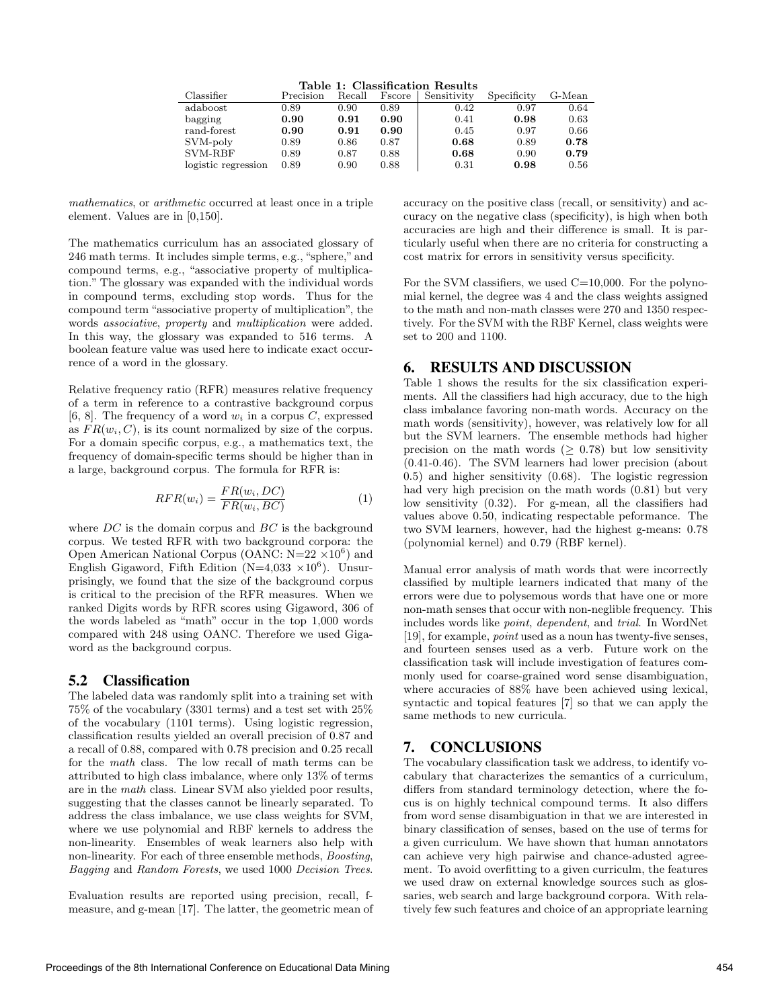|  |  |  | Table 1: Classification Results |  |
|--|--|--|---------------------------------|--|
|  |  |  | ________                        |  |

| Classifier          | Precision | Recall    | Fscore    | Sensitivity | Specificity | G-Mean |
|---------------------|-----------|-----------|-----------|-------------|-------------|--------|
| adaboost            | 0.89      | 0.90      | 0.89      | 0.42        | 0.97        | 0.64   |
| bagging             | 0.90      | $_{0.91}$ | 0.90      | 0.41        | 0.98        | 0.63   |
| rand-forest         | 0.90      | 0.91      | $_{0.90}$ | 0.45        | 0.97        | 0.66   |
| SVM-poly            | 0.89      | 0.86      | 0.87      | 0.68        | 0.89        | 0.78   |
| SVM-RBF             | 0.89      | $0.87\,$  | 0.88      | 0.68        | 0.90        | 0.79   |
| logistic regression | 0.89      | ${0.90}$  | 0.88      | 0.31        | 0.98        | 0.56   |

mathematics, or arithmetic occurred at least once in a triple element. Values are in [0,150].

The mathematics curriculum has an associated glossary of 246 math terms. It includes simple terms, e.g., "sphere," and compound terms, e.g., "associative property of multiplication." The glossary was expanded with the individual words in compound terms, excluding stop words. Thus for the compound term "associative property of multiplication", the words associative, property and multiplication were added. In this way, the glossary was expanded to 516 terms. A boolean feature value was used here to indicate exact occurrence of a word in the glossary.

Relative frequency ratio (RFR) measures relative frequency of a term in reference to a contrastive background corpus [6, 8]. The frequency of a word  $w_i$  in a corpus C, expressed as  $FR(w_i, C)$ , is its count normalized by size of the corpus. For a domain specific corpus, e.g., a mathematics text, the frequency of domain-specific terms should be higher than in a large, background corpus. The formula for RFR is:

$$
RFR(w_i) = \frac{FR(w_i, DC)}{FR(w_i, BC)}
$$
\n(1)

where  $DC$  is the domain corpus and  $BC$  is the background corpus. We tested RFR with two background corpora: the Open American National Corpus (OANC:  $N=22\times10^6$ ) and English Gigaword, Fifth Edition (N=4,033  $\times 10^6$ ). Unsurprisingly, we found that the size of the background corpus is critical to the precision of the RFR measures. When we ranked Digits words by RFR scores using Gigaword, 306 of the words labeled as "math" occur in the top 1,000 words compared with 248 using OANC. Therefore we used Gigaword as the background corpus.

#### 5.2 Classification

The labeled data was randomly split into a training set with 75% of the vocabulary (3301 terms) and a test set with 25% of the vocabulary (1101 terms). Using logistic regression, classification results yielded an overall precision of 0.87 and a recall of 0.88, compared with 0.78 precision and 0.25 recall for the math class. The low recall of math terms can be attributed to high class imbalance, where only 13% of terms are in the math class. Linear SVM also yielded poor results, suggesting that the classes cannot be linearly separated. To address the class imbalance, we use class weights for SVM, where we use polynomial and RBF kernels to address the non-linearity. Ensembles of weak learners also help with non-linearity. For each of three ensemble methods, Boosting, Bagging and Random Forests, we used 1000 Decision Trees.

Evaluation results are reported using precision, recall, fmeasure, and g-mean [17]. The latter, the geometric mean of accuracy on the positive class (recall, or sensitivity) and accuracy on the negative class (specificity), is high when both accuracies are high and their difference is small. It is particularly useful when there are no criteria for constructing a cost matrix for errors in sensitivity versus specificity.

For the SVM classifiers, we used  $C=10,000$ . For the polynomial kernel, the degree was 4 and the class weights assigned to the math and non-math classes were 270 and 1350 respectively. For the SVM with the RBF Kernel, class weights were set to 200 and 1100.

#### 6. RESULTS AND DISCUSSION

Table 1 shows the results for the six classification experiments. All the classifiers had high accuracy, due to the high class imbalance favoring non-math words. Accuracy on the math words (sensitivity), however, was relatively low for all but the SVM learners. The ensemble methods had higher precision on the math words  $(> 0.78)$  but low sensitivity (0.41-0.46). The SVM learners had lower precision (about 0.5) and higher sensitivity (0.68). The logistic regression had very high precision on the math words (0.81) but very low sensitivity (0.32). For g-mean, all the classifiers had values above 0.50, indicating respectable peformance. The two SVM learners, however, had the highest g-means: 0.78 (polynomial kernel) and 0.79 (RBF kernel).

Manual error analysis of math words that were incorrectly classified by multiple learners indicated that many of the errors were due to polysemous words that have one or more non-math senses that occur with non-neglible frequency. This includes words like point, dependent, and trial. In WordNet [19], for example, point used as a noun has twenty-five senses, and fourteen senses used as a verb. Future work on the classification task will include investigation of features commonly used for coarse-grained word sense disambiguation, where accuracies of 88% have been achieved using lexical, syntactic and topical features [7] so that we can apply the same methods to new curricula.

## 7. CONCLUSIONS

The vocabulary classification task we address, to identify vocabulary that characterizes the semantics of a curriculum, differs from standard terminology detection, where the focus is on highly technical compound terms. It also differs from word sense disambiguation in that we are interested in binary classification of senses, based on the use of terms for a given curriculum. We have shown that human annotators can achieve very high pairwise and chance-adusted agreement. To avoid overfitting to a given curriculm, the features we used draw on external knowledge sources such as glossaries, web search and large background corpora. With relatively few such features and choice of an appropriate learning